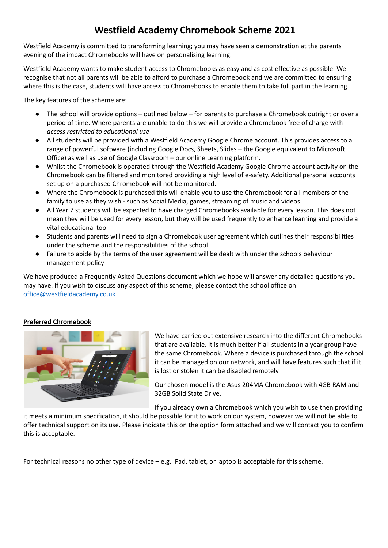# **Westfield Academy Chromebook Scheme 2021**

Westfield Academy is committed to transforming learning; you may have seen a demonstration at the parents evening of the impact Chromebooks will have on personalising learning.

Westfield Academy wants to make student access to Chromebooks as easy and as cost effective as possible. We recognise that not all parents will be able to afford to purchase a Chromebook and we are committed to ensuring where this is the case, students will have access to Chromebooks to enable them to take full part in the learning.

The key features of the scheme are:

- The school will provide options outlined below for parents to purchase a Chromebook outright or over a period of time. Where parents are unable to do this we will provide a Chromebook free of charge with *access restricted to educational use*
- All students will be provided with a Westfield Academy Google Chrome account. This provides access to a range of powerful software (including Google Docs, Sheets, Slides – the Google equivalent to Microsoft Office) as well as use of Google Classroom – our online Learning platform.
- Whilst the Chromebook is operated through the Westfield Academy Google Chrome account activity on the Chromebook can be filtered and monitored providing a high level of e-safety. Additional personal accounts set up on a purchased Chromebook will not be monitored.
- Where the Chromebook is purchased this will enable you to use the Chromebook for all members of the family to use as they wish - such as Social Media, games, streaming of music and videos
- All Year 7 students will be expected to have charged Chromebooks available for every lesson. This does not mean they will be used for every lesson, but they will be used frequently to enhance learning and provide a vital educational tool
- Students and parents will need to sign a Chromebook user agreement which outlines their responsibilities under the scheme and the responsibilities of the school
- Failure to abide by the terms of the user agreement will be dealt with under the schools behaviour management policy

We have produced a Frequently Asked Questions document which we hope will answer any detailed questions you may have. If you wish to discuss any aspect of this scheme, please contact the school office on [office@westfieldacademy.co.uk](mailto:office@westfieldacademy.co.uk)

## **Preferred Chromebook**



We have carried out extensive research into the different Chromebooks that are available. It is much better if all students in a year group have the same Chromebook. Where a device is purchased through the school it can be managed on our network, and will have features such that if it is lost or stolen it can be disabled remotely.

Our chosen model is the Asus 204MA Chromebook with 4GB RAM and 32GB Solid State Drive.

If you already own a Chromebook which you wish to use then providing

it meets a minimum specification, it should be possible for it to work on our system, however we will not be able to offer technical support on its use. Please indicate this on the option form attached and we will contact you to confirm this is acceptable.

For technical reasons no other type of device – e.g. IPad, tablet, or laptop is acceptable for this scheme.